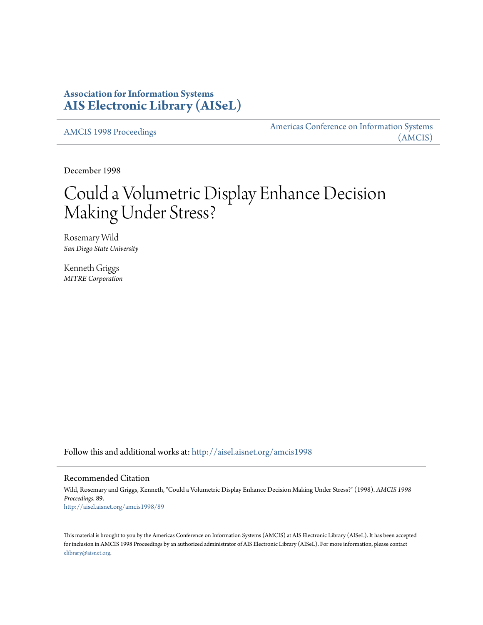## **Association for Information Systems [AIS Electronic Library \(AISeL\)](http://aisel.aisnet.org?utm_source=aisel.aisnet.org%2Famcis1998%2F89&utm_medium=PDF&utm_campaign=PDFCoverPages)**

[AMCIS 1998 Proceedings](http://aisel.aisnet.org/amcis1998?utm_source=aisel.aisnet.org%2Famcis1998%2F89&utm_medium=PDF&utm_campaign=PDFCoverPages)

[Americas Conference on Information Systems](http://aisel.aisnet.org/amcis?utm_source=aisel.aisnet.org%2Famcis1998%2F89&utm_medium=PDF&utm_campaign=PDFCoverPages) [\(AMCIS\)](http://aisel.aisnet.org/amcis?utm_source=aisel.aisnet.org%2Famcis1998%2F89&utm_medium=PDF&utm_campaign=PDFCoverPages)

December 1998

# Could a Volumetric Display Enhance Decision Making Under Stress?

Rosemary Wild *San Diego State University*

Kenneth Griggs *MITRE Corporation*

Follow this and additional works at: [http://aisel.aisnet.org/amcis1998](http://aisel.aisnet.org/amcis1998?utm_source=aisel.aisnet.org%2Famcis1998%2F89&utm_medium=PDF&utm_campaign=PDFCoverPages)

#### Recommended Citation

Wild, Rosemary and Griggs, Kenneth, "Could a Volumetric Display Enhance Decision Making Under Stress?" (1998). *AMCIS 1998 Proceedings*. 89. [http://aisel.aisnet.org/amcis1998/89](http://aisel.aisnet.org/amcis1998/89?utm_source=aisel.aisnet.org%2Famcis1998%2F89&utm_medium=PDF&utm_campaign=PDFCoverPages)

This material is brought to you by the Americas Conference on Information Systems (AMCIS) at AIS Electronic Library (AISeL). It has been accepted for inclusion in AMCIS 1998 Proceedings by an authorized administrator of AIS Electronic Library (AISeL). For more information, please contact [elibrary@aisnet.org.](mailto:elibrary@aisnet.org%3E)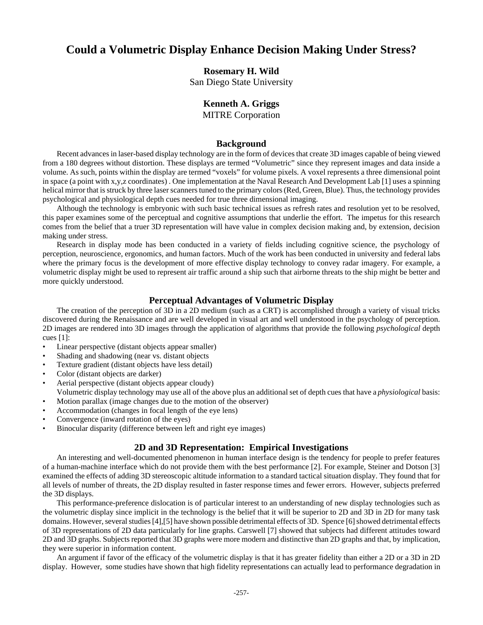## **Could a Volumetric Display Enhance Decision Making Under Stress?**

#### **Rosemary H. Wild**

San Diego State University

### **Kenneth A. Griggs**

MITRE Corporation

#### **Background**

Recent advances in laser-based display technology are in the form of devices that create 3D images capable of being viewed from a 180 degrees without distortion. These displays are termed "Volumetric" since they represent images and data inside a volume. As such, points within the display are termed "voxels" for volume pixels. A voxel represents a three dimensional point in space (a point with x,y,z coordinates) . One implementation at the Naval Research And Development Lab [1] uses a spinning helical mirror that is struck by three laser scanners tuned to the primary colors (Red, Green, Blue). Thus, the technology provides psychological and physiological depth cues needed for true three dimensional imaging.

Although the technology is embryonic with such basic technical issues as refresh rates and resolution yet to be resolved, this paper examines some of the perceptual and cognitive assumptions that underlie the effort. The impetus for this research comes from the belief that a truer 3D representation will have value in complex decision making and, by extension, decision making under stress.

Research in display mode has been conducted in a variety of fields including cognitive science, the psychology of perception, neuroscience, ergonomics, and human factors. Much of the work has been conducted in university and federal labs where the primary focus is the development of more effective display technology to convey radar imagery. For example, a volumetric display might be used to represent air traffic around a ship such that airborne threats to the ship might be better and more quickly understood.

#### **Perceptual Advantages of Volumetric Display**

The creation of the perception of 3D in a 2D medium (such as a CRT) is accomplished through a variety of visual tricks discovered during the Renaissance and are well developed in visual art and well understood in the psychology of perception. 2D images are rendered into 3D images through the application of algorithms that provide the following *psychological* depth cues [1]:

- Linear perspective (distant objects appear smaller)
- Shading and shadowing (near vs. distant objects
- Texture gradient (distant objects have less detail)
- Color (distant objects are darker)
- Aerial perspective (distant objects appear cloudy)

Volumetric display technology may use all of the above plus an additional set of depth cues that have a *physiological* basis: • Motion parallax (image changes due to the motion of the observer)

- Accommodation (changes in focal length of the eye lens)
- Convergence (inward rotation of the eyes)
- Binocular disparity (difference between left and right eye images)

#### **2D and 3D Representation: Empirical Investigations**

An interesting and well-documented phenomenon in human interface design is the tendency for people to prefer features of a human-machine interface which do not provide them with the best performance [2]. For example, Steiner and Dotson [3] examined the effects of adding 3D stereoscopic altitude information to a standard tactical situation display. They found that for all levels of number of threats, the 2D display resulted in faster response times and fewer errors. However, subjects preferred the 3D displays.

This performance-preference dislocation is of particular interest to an understanding of new display technologies such as the volumetric display since implicit in the technology is the belief that it will be superior to 2D and 3D in 2D for many task domains. However, several studies [4],[5] have shown possible detrimental effects of 3D. Spence [6] showed detrimental effects of 3D representations of 2D data particularly for line graphs. Carswell [7] showed that subjects had different attitudes toward 2D and 3D graphs. Subjects reported that 3D graphs were more modern and distinctive than 2D graphs and that, by implication, they were superior in information content.

An argument if favor of the efficacy of the volumetric display is that it has greater fidelity than either a 2D or a 3D in 2D display. However, some studies have shown that high fidelity representations can actually lead to performance degradation in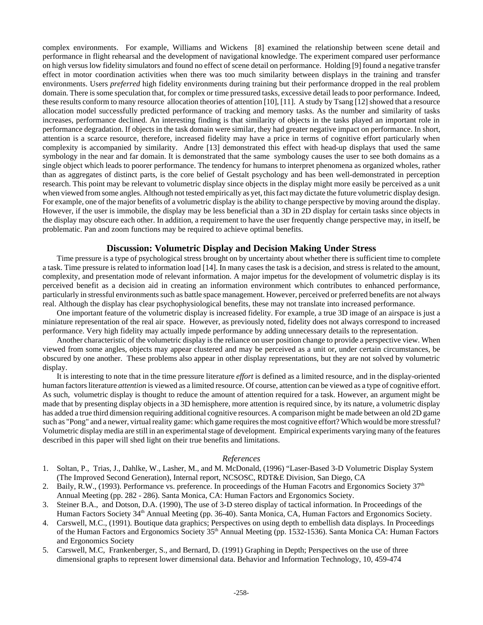complex environments. For example, Williams and Wickens [8] examined the relationship between scene detail and performance in flight rehearsal and the development of navigational knowledge. The experiment compared user performance on high versus low fidelity simulators and found no effect of scene detail on performance. Holding [9] found a negative transfer effect in motor coordination activities when there was too much similarity between displays in the training and transfer environments. Users *preferred* high fidelity environments during training but their performance dropped in the real problem domain. There is some speculation that, for complex or time pressured tasks, excessive detail leads to poor performance. Indeed, these results conform to many resource allocation theories of attention [10], [11]. A study by Tsang [12] showed that a resource allocation model successfully predicted performance of tracking and memory tasks. As the number and similarity of tasks increases, performance declined. An interesting finding is that similarity of objects in the tasks played an important role in performance degradation. If objects in the task domain were similar, they had greater negative impact on performance. In short, attention is a scarce resource, therefore, increased fidelity may have a price in terms of cognitive effort particularly when complexity is accompanied by similarity. Andre [13] demonstrated this effect with head-up displays that used the same symbology in the near and far domain. It is demonstrated that the same symbology causes the user to see both domains as a single object which leads to poorer performance. The tendency for humans to interpret phenomena as organized wholes, rather than as aggregates of distinct parts, is the core belief of Gestalt psychology and has been well-demonstrated in perception research. This point may be relevant to volumetric display since objects in the display might more easily be perceived as a unit when viewed from some angles. Although not tested empirically as yet, this fact may dictate the future volumetric display design. For example, one of the major benefits of a volumetric display is the ability to change perspective by moving around the display. However, if the user is immobile, the display may be less beneficial than a 3D in 2D display for certain tasks since objects in the display may obscure each other. In addition, a requirement to have the user frequently change perspective may, in itself, be problematic. Pan and zoom functions may be required to achieve optimal benefits.

#### **Discussion: Volumetric Display and Decision Making Under Stress**

Time pressure is a type of psychological stress brought on by uncertainty about whether there is sufficient time to complete a task. Time pressure is related to information load [14]. In many cases the task is a decision, and stress is related to the amount, complexity, and presentation mode of relevant information. A major impetus for the development of volumetric display is its perceived benefit as a decision aid in creating an information environment which contributes to enhanced performance, particularly in stressful environments such as battle space management. However, perceived or preferred benefits are not always real. Although the display has clear psychophysiological benefits, these may not translate into increased performance.

One important feature of the volumetric display is increased fidelity. For example, a true 3D image of an airspace is just a miniature representation of the real air space. However, as previously noted, fidelity does not always correspond to increased performance. Very high fidelity may actually impede performance by adding unnecessary details to the representation.

Another characteristic of the volumetric display is the reliance on user position change to provide a perspective view. When viewed from some angles, objects may appear clustered and may be perceived as a unit or, under certain circumstances, be obscured by one another. These problems also appear in other display representations, but they are not solved by volumetric display.

It is interesting to note that in the time pressure literature *effort* is defined as a limited resource, and in the display-oriented human factors literature *attention* is viewed as a limited resource. Of course, attention can be viewed as a type of cognitive effort. As such, volumetric display is thought to reduce the amount of attention required for a task. However, an argument might be made that by presenting display objects in a 3D hemisphere, more attention is required since, by its nature, a volumetric display has added a true third dimension requiring additional cognitive resources. A comparison might be made between an old 2D game such as "Pong" and a newer, virtual reality game: which game requires the most cognitive effort? Which would be more stressful? Volumetric display media are still in an experimental stage of development. Empirical experiments varying many of the features described in this paper will shed light on their true benefits and limitations.

#### *References*

- 1. Soltan, P., Trias, J., Dahlke, W., Lasher, M., and M. McDonald, (1996) "Laser-Based 3-D Volumetric Display System (The Improved Second Generation), Internal report, NCSOSC, RDT&E Division, San Diego, CA
- 2. Baily, R.W., (1993). Performance vs. preference. In proceedings of the Human Facotrs and Ergonomics Society  $37<sup>th</sup>$ Annual Meeting (pp. 282 - 286). Santa Monica, CA: Human Factors and Ergonomics Society.
- 3. Steiner B.A., and Dotson, D.A. (1990), The use of 3-D stereo display of tactical information. In Proceedings of the Human Factors Society 34<sup>th</sup> Annual Meeting (pp. 36-40). Santa Monica, CA, Human Factors and Ergonomics Society.
- 4. Carswell, M.C., (1991). Boutique data graphics; Perspectives on using depth to embellish data displays. In Proceedings of the Human Factors and Ergonomics Society 35<sup>th</sup> Annual Meeting (pp. 1532-1536). Santa Monica CA: Human Factors and Ergonomics Society
- 5. Carswell, M.C, Frankenberger, S., and Bernard, D. (1991) Graphing in Depth; Perspectives on the use of three dimensional graphs to represent lower dimensional data. Behavior and Information Technology, 10, 459-474